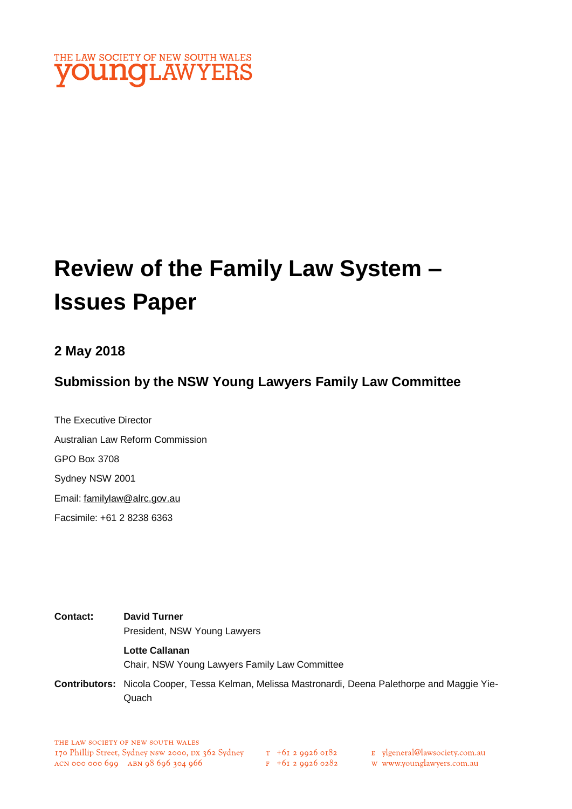

# **Review of the Family Law System – Issues Paper**

#### **2 May 2018**

#### **Submission by the NSW Young Lawyers Family Law Committee**

The Executive Director Australian Law Reform Commission GPO Box 3708 Sydney NSW 2001 Email: [familylaw@alrc.gov.au](mailto:familylaw@alrc.gov.au)  Facsimile: +61 2 8238 6363

**Contact: David Turner** President, NSW Young Lawyers **Lotte Callanan** Chair, NSW Young Lawyers Family Law Committee

**Contributors:** Nicola Cooper, Tessa Kelman, Melissa Mastronardi, Deena Palethorpe and Maggie Yie-**Quach**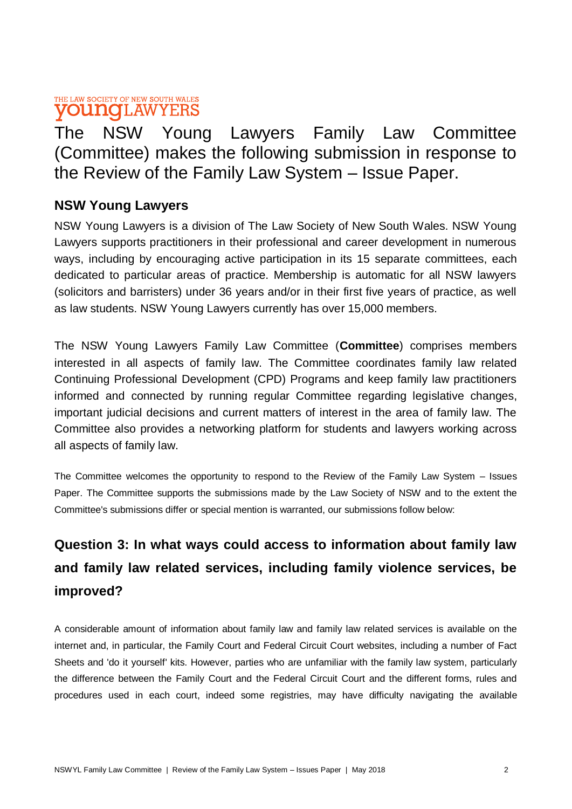#### THE LAW SOCIETY OF NEW SOUTH WALES **VOUNCLAWYERS**

## The NSW Young Lawyers Family Law Committee (Committee) makes the following submission in response to the Review of the Family Law System – Issue Paper.

#### **NSW Young Lawyers**

NSW Young Lawyers is a division of The Law Society of New South Wales. NSW Young Lawyers supports practitioners in their professional and career development in numerous ways, including by encouraging active participation in its 15 separate committees, each dedicated to particular areas of practice. Membership is automatic for all NSW lawyers (solicitors and barristers) under 36 years and/or in their first five years of practice, as well as law students. NSW Young Lawyers currently has over 15,000 members.

The NSW Young Lawyers Family Law Committee (**Committee**) comprises members interested in all aspects of family law. The Committee coordinates family law related Continuing Professional Development (CPD) Programs and keep family law practitioners informed and connected by running regular Committee regarding legislative changes, important judicial decisions and current matters of interest in the area of family law. The Committee also provides a networking platform for students and lawyers working across all aspects of family law.

The Committee welcomes the opportunity to respond to the Review of the Family Law System – Issues Paper. The Committee supports the submissions made by the Law Society of NSW and to the extent the Committee's submissions differ or special mention is warranted, our submissions follow below:

## **Question 3: In what ways could access to information about family law and family law related services, including family violence services, be improved?**

A considerable amount of information about family law and family law related services is available on the internet and, in particular, the Family Court and Federal Circuit Court websites, including a number of Fact Sheets and 'do it yourself' kits. However, parties who are unfamiliar with the family law system, particularly the difference between the Family Court and the Federal Circuit Court and the different forms, rules and procedures used in each court, indeed some registries, may have difficulty navigating the available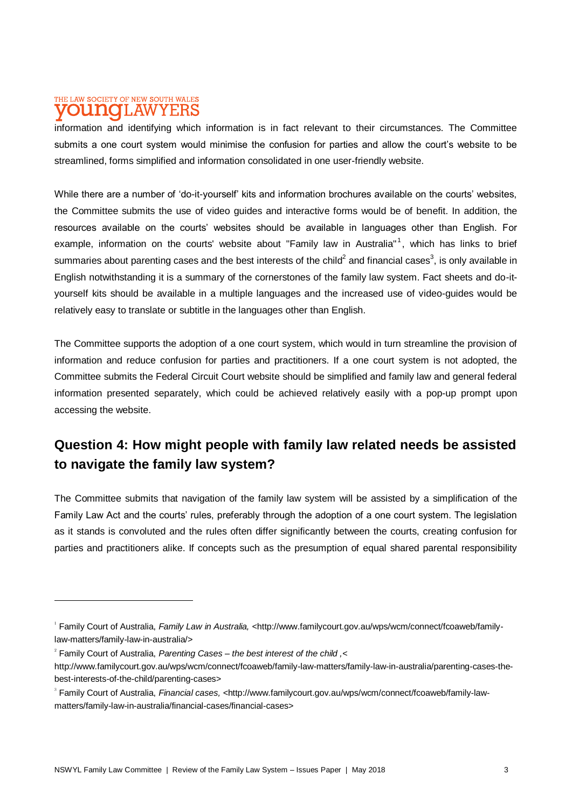#### THE LAW SOCIETY OF NEW SOUTH WALES **DUI TO LAWYERS**

information and identifying which information is in fact relevant to their circumstances. The Committee submits a one court system would minimise the confusion for parties and allow the court's website to be streamlined, forms simplified and information consolidated in one user-friendly website.

While there are a number of 'do-it-yourself' kits and information brochures available on the courts' websites, the Committee submits the use of video guides and interactive forms would be of benefit. In addition, the resources available on the courts' websites should be available in languages other than English. For example, information on the courts' website about "Family law in Australia"<sup>1</sup>, which has links to brief summaries about parenting cases and the best interests of the child<sup>2</sup> and financial cases<sup>3</sup>, is only available in English notwithstanding it is a summary of the cornerstones of the family law system. Fact sheets and do-ityourself kits should be available in a multiple languages and the increased use of video-guides would be relatively easy to translate or subtitle in the languages other than English.

The Committee supports the adoption of a one court system, which would in turn streamline the provision of information and reduce confusion for parties and practitioners. If a one court system is not adopted, the Committee submits the Federal Circuit Court website should be simplified and family law and general federal information presented separately, which could be achieved relatively easily with a pop-up prompt upon accessing the website.

#### **Question 4: How might people with family law related needs be assisted to navigate the family law system?**

The Committee submits that navigation of the family law system will be assisted by a simplification of the Family Law Act and the courts' rules, preferably through the adoption of a one court system. The legislation as it stands is convoluted and the rules often differ significantly between the courts, creating confusion for parties and practitioners alike. If concepts such as the presumption of equal shared parental responsibility

<sup>1</sup> Family Court of Australia, *Family Law in Australia, <*http://www.familycourt.gov.au/wps/wcm/connect/fcoaweb/familylaw-matters/family-law-in-australia/>

<sup>2</sup> Family Court of Australia, *Parenting Cases – the best interest of the child ,<*

http://www.familycourt.gov.au/wps/wcm/connect/fcoaweb/family-law-matters/family-law-in-australia/parenting-cases-thebest-interests-of-the-child/parenting-cases>

<sup>3</sup> Family Court of Australia, *Financial cases, <*http://www.familycourt.gov.au/wps/wcm/connect/fcoaweb/family-lawmatters/family-law-in-australia/financial-cases/financial-cases>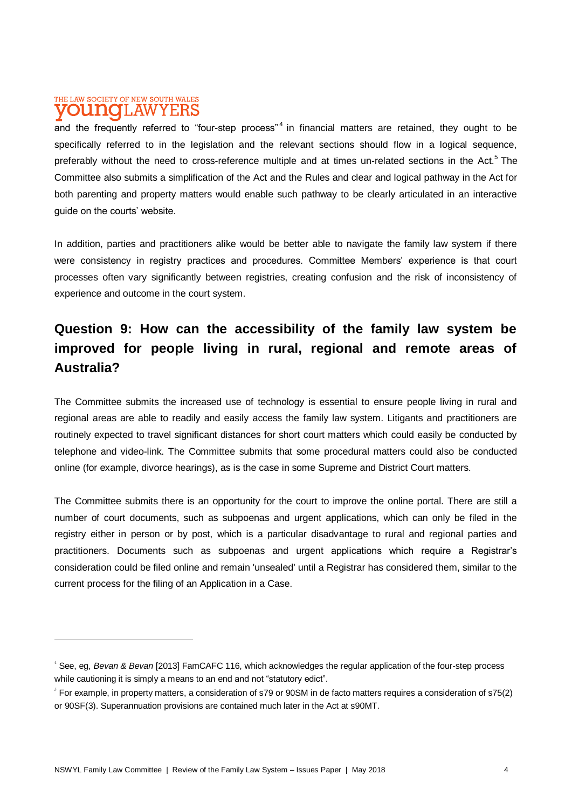#### THE LAW SOCIETY OF NEW SOUTH WALES **OUNOLAWYERS**

 $\overline{a}$ 

and the frequently referred to "four-step process"<sup>4</sup> in financial matters are retained, they ought to be specifically referred to in the legislation and the relevant sections should flow in a logical sequence, preferably without the need to cross-reference multiple and at times un-related sections in the Act.<sup>5</sup> The Committee also submits a simplification of the Act and the Rules and clear and logical pathway in the Act for both parenting and property matters would enable such pathway to be clearly articulated in an interactive quide on the courts' website.

In addition, parties and practitioners alike would be better able to navigate the family law system if there were consistency in registry practices and procedures. Committee Members' experience is that court processes often vary significantly between registries, creating confusion and the risk of inconsistency of experience and outcome in the court system.

### **Question 9: How can the accessibility of the family law system be improved for people living in rural, regional and remote areas of Australia?**

The Committee submits the increased use of technology is essential to ensure people living in rural and regional areas are able to readily and easily access the family law system. Litigants and practitioners are routinely expected to travel significant distances for short court matters which could easily be conducted by telephone and video-link. The Committee submits that some procedural matters could also be conducted online (for example, divorce hearings), as is the case in some Supreme and District Court matters.

The Committee submits there is an opportunity for the court to improve the online portal. There are still a number of court documents, such as subpoenas and urgent applications, which can only be filed in the registry either in person or by post, which is a particular disadvantage to rural and regional parties and practitioners. Documents such as subpoenas and urgent applications which require a Registrar's consideration could be filed online and remain 'unsealed' until a Registrar has considered them, similar to the current process for the filing of an Application in a Case.

<sup>4</sup> See, eg, *Bevan & Bevan* [2013] FamCAFC 116, which acknowledges the regular application of the four-step process while cautioning it is simply a means to an end and not "statutory edict".

 $\rm\,s$  For example, in property matters, a consideration of s79 or 90SM in de facto matters requires a consideration of s75(2) or 90SF(3). Superannuation provisions are contained much later in the Act at s90MT.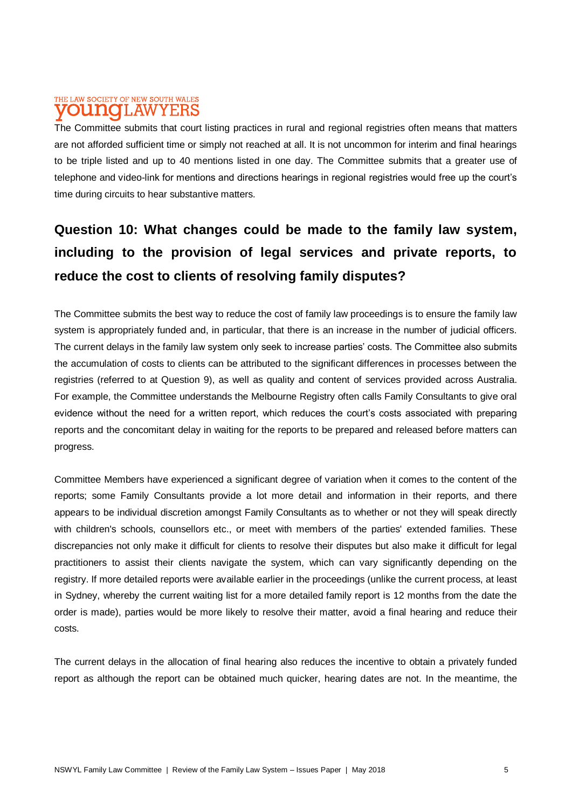#### THE LAW SOCIETY OF NEW SOUTH WALES T.AW onno

The Committee submits that court listing practices in rural and regional registries often means that matters are not afforded sufficient time or simply not reached at all. It is not uncommon for interim and final hearings to be triple listed and up to 40 mentions listed in one day. The Committee submits that a greater use of telephone and video-link for mentions and directions hearings in regional registries would free up the court's time during circuits to hear substantive matters.

## **Question 10: What changes could be made to the family law system, including to the provision of legal services and private reports, to reduce the cost to clients of resolving family disputes?**

The Committee submits the best way to reduce the cost of family law proceedings is to ensure the family law system is appropriately funded and, in particular, that there is an increase in the number of judicial officers. The current delays in the family law system only seek to increase parties' costs. The Committee also submits the accumulation of costs to clients can be attributed to the significant differences in processes between the registries (referred to at Question 9), as well as quality and content of services provided across Australia. For example, the Committee understands the Melbourne Registry often calls Family Consultants to give oral evidence without the need for a written report, which reduces the court's costs associated with preparing reports and the concomitant delay in waiting for the reports to be prepared and released before matters can progress.

Committee Members have experienced a significant degree of variation when it comes to the content of the reports; some Family Consultants provide a lot more detail and information in their reports, and there appears to be individual discretion amongst Family Consultants as to whether or not they will speak directly with children's schools, counsellors etc., or meet with members of the parties' extended families. These discrepancies not only make it difficult for clients to resolve their disputes but also make it difficult for legal practitioners to assist their clients navigate the system, which can vary significantly depending on the registry. If more detailed reports were available earlier in the proceedings (unlike the current process, at least in Sydney, whereby the current waiting list for a more detailed family report is 12 months from the date the order is made), parties would be more likely to resolve their matter, avoid a final hearing and reduce their costs.

The current delays in the allocation of final hearing also reduces the incentive to obtain a privately funded report as although the report can be obtained much quicker, hearing dates are not. In the meantime, the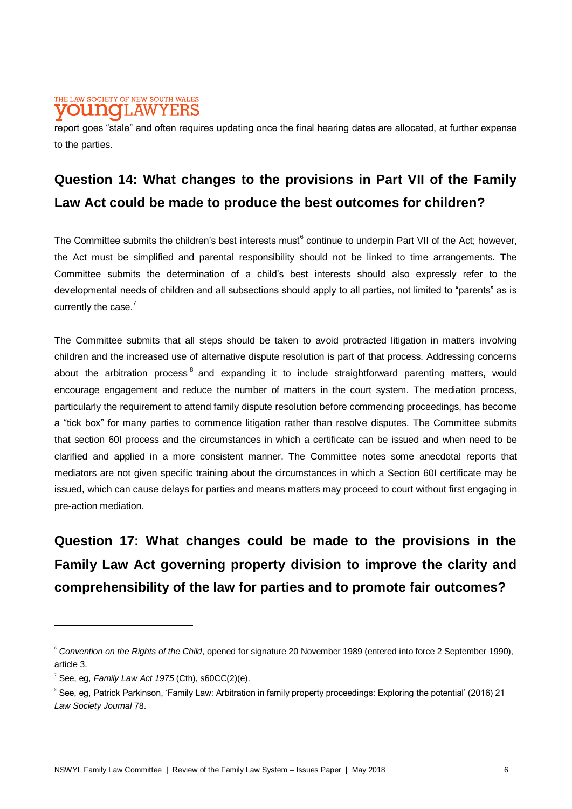#### THE LAW SOCIETY OF NEW SOUTH WALES **DUNOLAWYERS**

report goes "stale" and often requires updating once the final hearing dates are allocated, at further expense to the parties.

## **Question 14: What changes to the provisions in Part VII of the Family Law Act could be made to produce the best outcomes for children?**

The Committee submits the children's best interests must<sup>6</sup> continue to underpin Part VII of the Act; however, the Act must be simplified and parental responsibility should not be linked to time arrangements. The Committee submits the determination of a child's best interests should also expressly refer to the developmental needs of children and all subsections should apply to all parties, not limited to "parents" as is currently the case.<sup>7</sup>

The Committee submits that all steps should be taken to avoid protracted litigation in matters involving children and the increased use of alternative dispute resolution is part of that process. Addressing concerns about the arbitration process  $^8$  and expanding it to include straightforward parenting matters, would encourage engagement and reduce the number of matters in the court system. The mediation process, particularly the requirement to attend family dispute resolution before commencing proceedings, has become a "tick box" for many parties to commence litigation rather than resolve disputes. The Committee submits that section 60I process and the circumstances in which a certificate can be issued and when need to be clarified and applied in a more consistent manner. The Committee notes some anecdotal reports that mediators are not given specific training about the circumstances in which a Section 60I certificate may be issued, which can cause delays for parties and means matters may proceed to court without first engaging in pre-action mediation.

**Question 17: What changes could be made to the provisions in the Family Law Act governing property division to improve the clarity and comprehensibility of the law for parties and to promote fair outcomes?**

<sup>6</sup> *Convention on the Rights of the Child*, opened for signature 20 November 1989 (entered into force 2 September 1990), article 3.

 $7$  See, eg, *Family Law Act 1975* (Cth), s60CC(2)(e).

<sup>8</sup> See, eg, Patrick Parkinson, 'Family Law: Arbitration in family property proceedings: Exploring the potential' (2016) 21 *Law Society Journal* 78.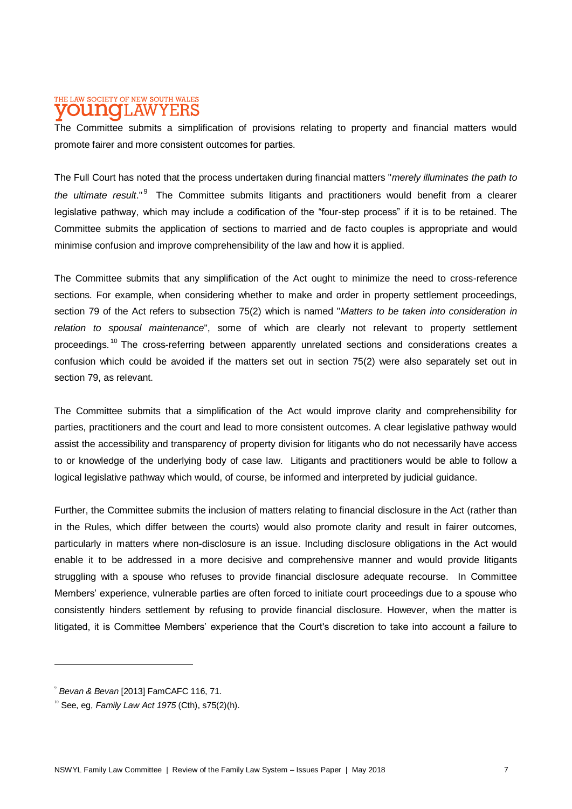#### THE LAW SOCIETY OF NEW SOUTH WALES **ILAW** nino

The Committee submits a simplification of provisions relating to property and financial matters would promote fairer and more consistent outcomes for parties.

The Full Court has noted that the process undertaken during financial matters "*merely illuminates the path to*  the ultimate result."<sup>9</sup> The Committee submits litigants and practitioners would benefit from a clearer legislative pathway, which may include a codification of the "four-step process" if it is to be retained. The Committee submits the application of sections to married and de facto couples is appropriate and would minimise confusion and improve comprehensibility of the law and how it is applied.

The Committee submits that any simplification of the Act ought to minimize the need to cross-reference sections. For example, when considering whether to make and order in property settlement proceedings, section 79 of the Act refers to subsection 75(2) which is named "*Matters to be taken into consideration in relation to spousal maintenance*", some of which are clearly not relevant to property settlement proceedings.<sup>10</sup> The cross-referring between apparently unrelated sections and considerations creates a confusion which could be avoided if the matters set out in section 75(2) were also separately set out in section 79, as relevant.

The Committee submits that a simplification of the Act would improve clarity and comprehensibility for parties, practitioners and the court and lead to more consistent outcomes. A clear legislative pathway would assist the accessibility and transparency of property division for litigants who do not necessarily have access to or knowledge of the underlying body of case law. Litigants and practitioners would be able to follow a logical legislative pathway which would, of course, be informed and interpreted by judicial guidance.

Further, the Committee submits the inclusion of matters relating to financial disclosure in the Act (rather than in the Rules, which differ between the courts) would also promote clarity and result in fairer outcomes, particularly in matters where non-disclosure is an issue. Including disclosure obligations in the Act would enable it to be addressed in a more decisive and comprehensive manner and would provide litigants struggling with a spouse who refuses to provide financial disclosure adequate recourse. In Committee Members' experience, vulnerable parties are often forced to initiate court proceedings due to a spouse who consistently hinders settlement by refusing to provide financial disclosure. However, when the matter is litigated, it is Committee Members' experience that the Court's discretion to take into account a failure to

 $\overline{a}$ 

<sup>9</sup> *Bevan & Bevan* [2013] FamCAFC 116, 71.

<sup>10</sup> See, eg, *Family Law Act 1975* (Cth), s75(2)(h).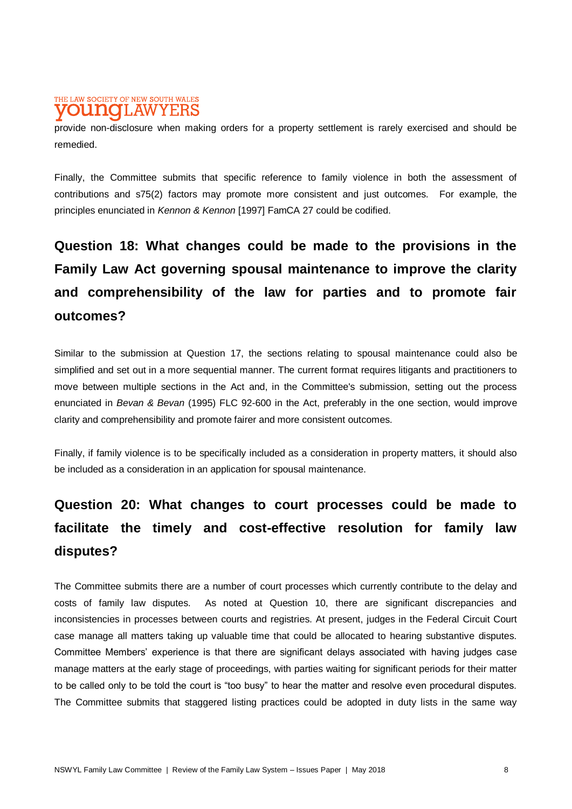#### THE LAW SOCIETY OF NEW SOUTH WALES **OUNOLAWYERS**

provide non-disclosure when making orders for a property settlement is rarely exercised and should be remedied.

Finally, the Committee submits that specific reference to family violence in both the assessment of contributions and s75(2) factors may promote more consistent and just outcomes. For example, the principles enunciated in *Kennon & Kennon* [1997] FamCA 27 could be codified.

## **Question 18: What changes could be made to the provisions in the Family Law Act governing spousal maintenance to improve the clarity and comprehensibility of the law for parties and to promote fair outcomes?**

Similar to the submission at Question 17, the sections relating to spousal maintenance could also be simplified and set out in a more sequential manner. The current format requires litigants and practitioners to move between multiple sections in the Act and, in the Committee's submission, setting out the process enunciated in *Bevan & Bevan* (1995) FLC 92-600 in the Act, preferably in the one section, would improve clarity and comprehensibility and promote fairer and more consistent outcomes.

Finally, if family violence is to be specifically included as a consideration in property matters, it should also be included as a consideration in an application for spousal maintenance.

## **Question 20: What changes to court processes could be made to facilitate the timely and cost-effective resolution for family law disputes?**

The Committee submits there are a number of court processes which currently contribute to the delay and costs of family law disputes. As noted at Question 10, there are significant discrepancies and inconsistencies in processes between courts and registries. At present, judges in the Federal Circuit Court case manage all matters taking up valuable time that could be allocated to hearing substantive disputes. Committee Members' experience is that there are significant delays associated with having judges case manage matters at the early stage of proceedings, with parties waiting for significant periods for their matter to be called only to be told the court is "too busy" to hear the matter and resolve even procedural disputes. The Committee submits that staggered listing practices could be adopted in duty lists in the same way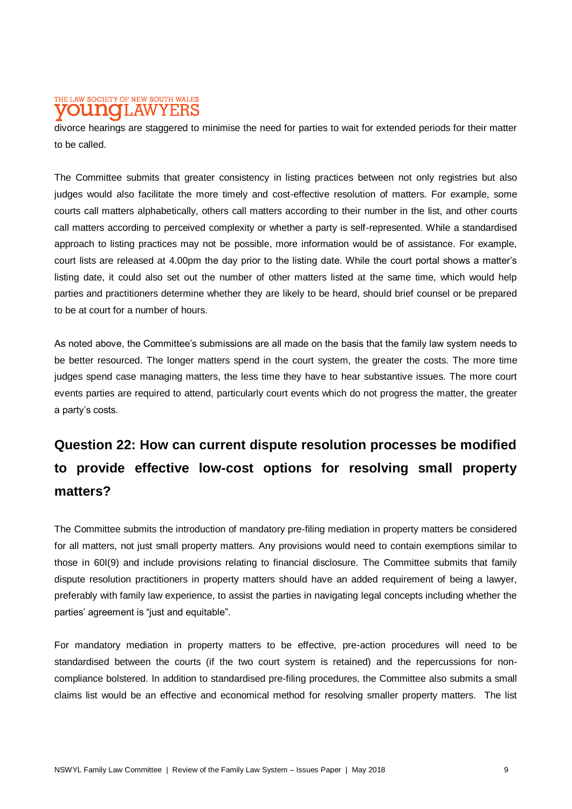#### THE LAW SOCIETY OF NEW SOUTH WALES T.AW DIDITIO

divorce hearings are staggered to minimise the need for parties to wait for extended periods for their matter to be called.

The Committee submits that greater consistency in listing practices between not only registries but also judges would also facilitate the more timely and cost-effective resolution of matters. For example, some courts call matters alphabetically, others call matters according to their number in the list, and other courts call matters according to perceived complexity or whether a party is self-represented. While a standardised approach to listing practices may not be possible, more information would be of assistance. For example, court lists are released at 4.00pm the day prior to the listing date. While the court portal shows a matter's listing date, it could also set out the number of other matters listed at the same time, which would help parties and practitioners determine whether they are likely to be heard, should brief counsel or be prepared to be at court for a number of hours.

As noted above, the Committee's submissions are all made on the basis that the family law system needs to be better resourced. The longer matters spend in the court system, the greater the costs. The more time judges spend case managing matters, the less time they have to hear substantive issues. The more court events parties are required to attend, particularly court events which do not progress the matter, the greater a party's costs.

## **Question 22: How can current dispute resolution processes be modified to provide effective low-cost options for resolving small property matters?**

The Committee submits the introduction of mandatory pre-filing mediation in property matters be considered for all matters, not just small property matters. Any provisions would need to contain exemptions similar to those in 60I(9) and include provisions relating to financial disclosure. The Committee submits that family dispute resolution practitioners in property matters should have an added requirement of being a lawyer, preferably with family law experience, to assist the parties in navigating legal concepts including whether the parties' agreement is "just and equitable".

For mandatory mediation in property matters to be effective, pre-action procedures will need to be standardised between the courts (if the two court system is retained) and the repercussions for noncompliance bolstered. In addition to standardised pre-filing procedures, the Committee also submits a small claims list would be an effective and economical method for resolving smaller property matters. The list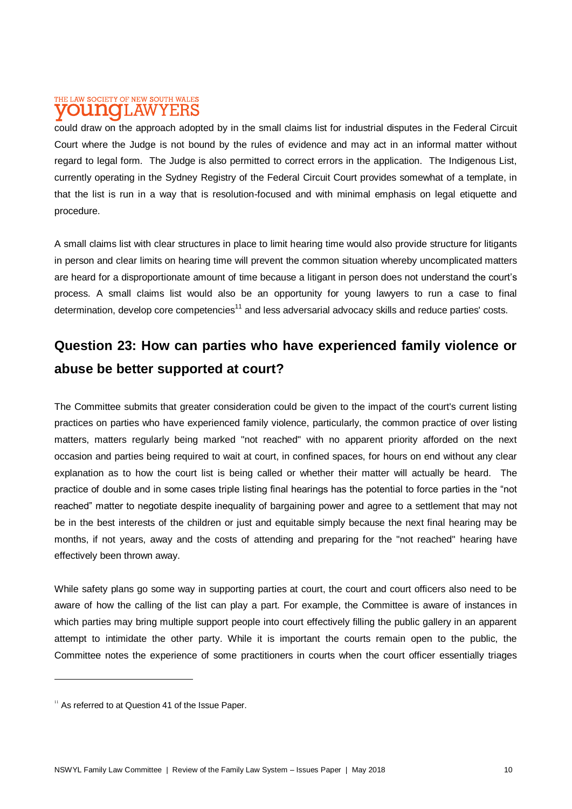#### THE LAW SOCIETY OF NEW SOUTH WALES T.AW DINIO

could draw on the approach adopted by in the small claims list for industrial disputes in the Federal Circuit Court where the Judge is not bound by the rules of evidence and may act in an informal matter without regard to legal form. The Judge is also permitted to correct errors in the application. The Indigenous List, currently operating in the Sydney Registry of the Federal Circuit Court provides somewhat of a template, in that the list is run in a way that is resolution-focused and with minimal emphasis on legal etiquette and procedure.

A small claims list with clear structures in place to limit hearing time would also provide structure for litigants in person and clear limits on hearing time will prevent the common situation whereby uncomplicated matters are heard for a disproportionate amount of time because a litigant in person does not understand the court's process. A small claims list would also be an opportunity for young lawyers to run a case to final determination, develop core competencies<sup>11</sup> and less adversarial advocacy skills and reduce parties' costs.

### **Question 23: How can parties who have experienced family violence or abuse be better supported at court?**

The Committee submits that greater consideration could be given to the impact of the court's current listing practices on parties who have experienced family violence, particularly, the common practice of over listing matters, matters regularly being marked "not reached" with no apparent priority afforded on the next occasion and parties being required to wait at court, in confined spaces, for hours on end without any clear explanation as to how the court list is being called or whether their matter will actually be heard. The practice of double and in some cases triple listing final hearings has the potential to force parties in the "not reached" matter to negotiate despite inequality of bargaining power and agree to a settlement that may not be in the best interests of the children or just and equitable simply because the next final hearing may be months, if not years, away and the costs of attending and preparing for the "not reached" hearing have effectively been thrown away.

While safety plans go some way in supporting parties at court, the court and court officers also need to be aware of how the calling of the list can play a part. For example, the Committee is aware of instances in which parties may bring multiple support people into court effectively filling the public gallery in an apparent attempt to intimidate the other party. While it is important the courts remain open to the public, the Committee notes the experience of some practitioners in courts when the court officer essentially triages

 $11$  As referred to at Question 41 of the Issue Paper.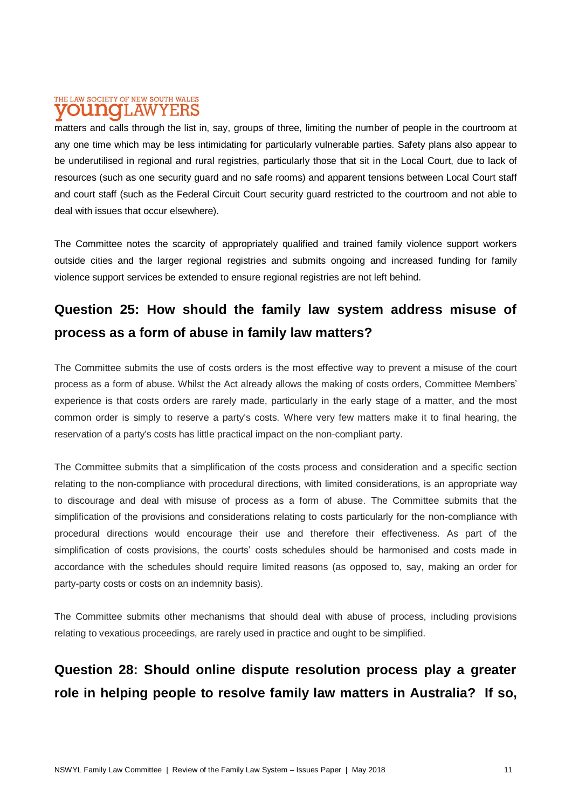#### THE LAW SOCIETY OF NEW SOUTH WALES **OUNCLAWYERS**

matters and calls through the list in, say, groups of three, limiting the number of people in the courtroom at any one time which may be less intimidating for particularly vulnerable parties. Safety plans also appear to be underutilised in regional and rural registries, particularly those that sit in the Local Court, due to lack of resources (such as one security guard and no safe rooms) and apparent tensions between Local Court staff and court staff (such as the Federal Circuit Court security guard restricted to the courtroom and not able to deal with issues that occur elsewhere).

The Committee notes the scarcity of appropriately qualified and trained family violence support workers outside cities and the larger regional registries and submits ongoing and increased funding for family violence support services be extended to ensure regional registries are not left behind.

### **Question 25: How should the family law system address misuse of process as a form of abuse in family law matters?**

The Committee submits the use of costs orders is the most effective way to prevent a misuse of the court process as a form of abuse. Whilst the Act already allows the making of costs orders, Committee Members' experience is that costs orders are rarely made, particularly in the early stage of a matter, and the most common order is simply to reserve a party's costs. Where very few matters make it to final hearing, the reservation of a party's costs has little practical impact on the non-compliant party.

The Committee submits that a simplification of the costs process and consideration and a specific section relating to the non-compliance with procedural directions, with limited considerations, is an appropriate way to discourage and deal with misuse of process as a form of abuse. The Committee submits that the simplification of the provisions and considerations relating to costs particularly for the non-compliance with procedural directions would encourage their use and therefore their effectiveness. As part of the simplification of costs provisions, the courts' costs schedules should be harmonised and costs made in accordance with the schedules should require limited reasons (as opposed to, say, making an order for party-party costs or costs on an indemnity basis).

The Committee submits other mechanisms that should deal with abuse of process, including provisions relating to vexatious proceedings, are rarely used in practice and ought to be simplified.

### **Question 28: Should online dispute resolution process play a greater role in helping people to resolve family law matters in Australia? If so,**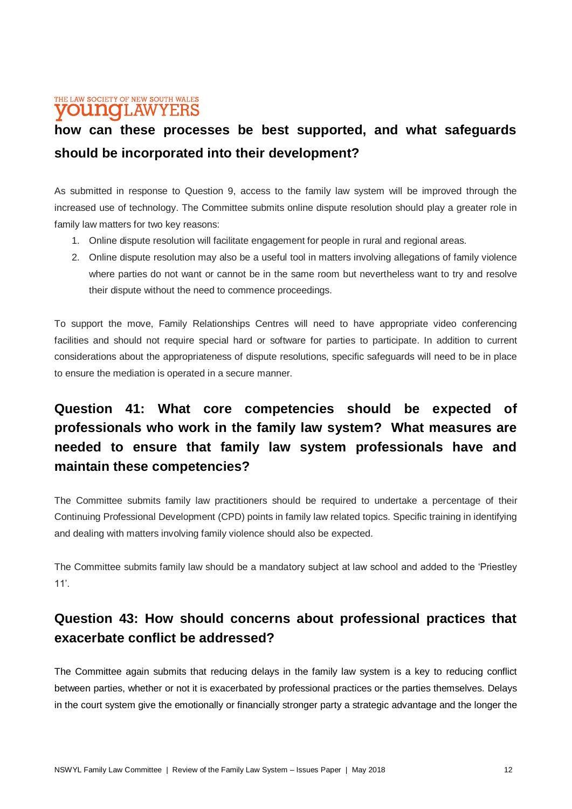#### THE LAW SOCIETY OF NEW SOUTH WALES **VOUNOLAWYERS**

### **how can these processes be best supported, and what safeguards should be incorporated into their development?**

As submitted in response to Question 9, access to the family law system will be improved through the increased use of technology. The Committee submits online dispute resolution should play a greater role in family law matters for two key reasons:

- 1. Online dispute resolution will facilitate engagement for people in rural and regional areas.
- 2. Online dispute resolution may also be a useful tool in matters involving allegations of family violence where parties do not want or cannot be in the same room but nevertheless want to try and resolve their dispute without the need to commence proceedings.

To support the move, Family Relationships Centres will need to have appropriate video conferencing facilities and should not require special hard or software for parties to participate. In addition to current considerations about the appropriateness of dispute resolutions, specific safeguards will need to be in place to ensure the mediation is operated in a secure manner.

### **Question 41: What core competencies should be expected of professionals who work in the family law system? What measures are needed to ensure that family law system professionals have and maintain these competencies?**

The Committee submits family law practitioners should be required to undertake a percentage of their Continuing Professional Development (CPD) points in family law related topics. Specific training in identifying and dealing with matters involving family violence should also be expected.

The Committee submits family law should be a mandatory subject at law school and added to the 'Priestley 11'.

#### **Question 43: How should concerns about professional practices that exacerbate conflict be addressed?**

The Committee again submits that reducing delays in the family law system is a key to reducing conflict between parties, whether or not it is exacerbated by professional practices or the parties themselves. Delays in the court system give the emotionally or financially stronger party a strategic advantage and the longer the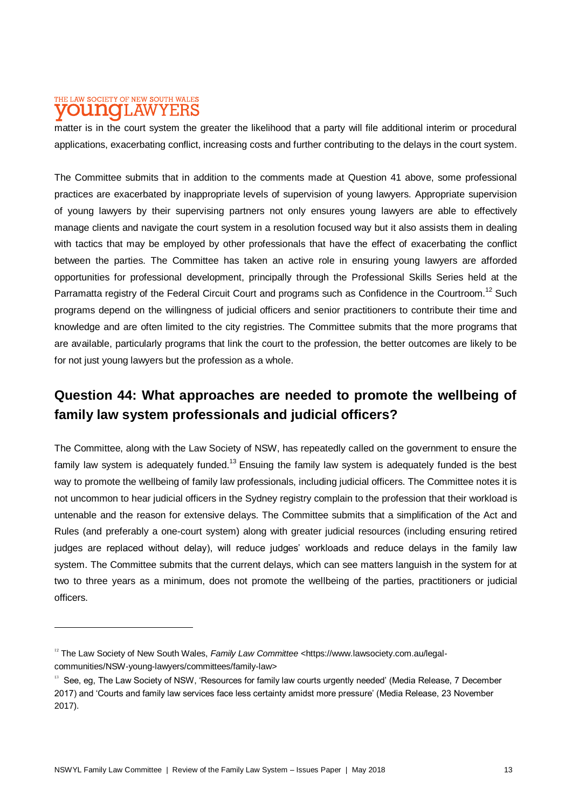#### THE LAW SOCIETY OF NEW SOUTH WALES T.AW ninalo

matter is in the court system the greater the likelihood that a party will file additional interim or procedural applications, exacerbating conflict, increasing costs and further contributing to the delays in the court system.

The Committee submits that in addition to the comments made at Question 41 above, some professional practices are exacerbated by inappropriate levels of supervision of young lawyers. Appropriate supervision of young lawyers by their supervising partners not only ensures young lawyers are able to effectively manage clients and navigate the court system in a resolution focused way but it also assists them in dealing with tactics that may be employed by other professionals that have the effect of exacerbating the conflict between the parties. The Committee has taken an active role in ensuring young lawyers are afforded opportunities for professional development, principally through the Professional Skills Series held at the Parramatta registry of the Federal Circuit Court and programs such as Confidence in the Courtroom.<sup>12</sup> Such programs depend on the willingness of judicial officers and senior practitioners to contribute their time and knowledge and are often limited to the city registries. The Committee submits that the more programs that are available, particularly programs that link the court to the profession, the better outcomes are likely to be for not just young lawyers but the profession as a whole.

#### **Question 44: What approaches are needed to promote the wellbeing of family law system professionals and judicial officers?**

The Committee, along with the Law Society of NSW, has repeatedly called on the government to ensure the family law system is adequately funded.<sup>13</sup> Ensuing the family law system is adequately funded is the best way to promote the wellbeing of family law professionals, including judicial officers. The Committee notes it is not uncommon to hear judicial officers in the Sydney registry complain to the profession that their workload is untenable and the reason for extensive delays. The Committee submits that a simplification of the Act and Rules (and preferably a one-court system) along with greater judicial resources (including ensuring retired judges are replaced without delay), will reduce judges' workloads and reduce delays in the family law system. The Committee submits that the current delays, which can see matters languish in the system for at two to three years as a minimum, does not promote the wellbeing of the parties, practitioners or judicial officers.

<sup>&</sup>lt;sup>12</sup> The Law Society of New South Wales, *Family Law Committee* <https://www.lawsociety.com.au/legalcommunities/NSW-young-lawyers/committees/family-law>

<sup>&</sup>lt;sup>13</sup> See, eg, The Law Society of NSW, 'Resources for family law courts urgently needed' (Media Release, 7 December 2017) and 'Courts and family law services face less certainty amidst more pressure' (Media Release, 23 November 2017).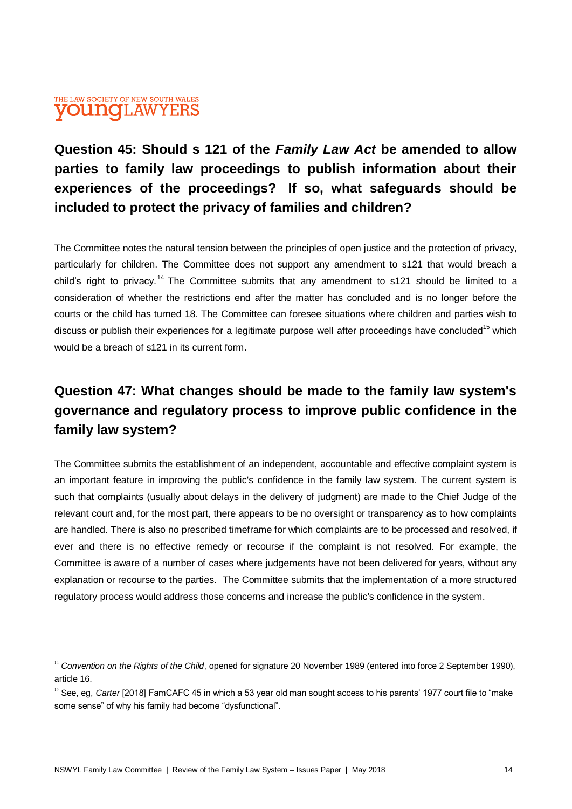#### THE LAW SOCIETY OF NEW SOUTH WALES **VOUNOLAWYERS**

 $\overline{a}$ 

### **Question 45: Should s 121 of the** *Family Law Act* **be amended to allow parties to family law proceedings to publish information about their experiences of the proceedings? If so, what safeguards should be included to protect the privacy of families and children?**

The Committee notes the natural tension between the principles of open justice and the protection of privacy, particularly for children. The Committee does not support any amendment to s121 that would breach a child's right to privacy.<sup>14</sup> The Committee submits that any amendment to s121 should be limited to a consideration of whether the restrictions end after the matter has concluded and is no longer before the courts or the child has turned 18. The Committee can foresee situations where children and parties wish to discuss or publish their experiences for a legitimate purpose well after proceedings have concluded<sup>15</sup> which would be a breach of s121 in its current form.

### **Question 47: What changes should be made to the family law system's governance and regulatory process to improve public confidence in the family law system?**

The Committee submits the establishment of an independent, accountable and effective complaint system is an important feature in improving the public's confidence in the family law system. The current system is such that complaints (usually about delays in the delivery of judgment) are made to the Chief Judge of the relevant court and, for the most part, there appears to be no oversight or transparency as to how complaints are handled. There is also no prescribed timeframe for which complaints are to be processed and resolved, if ever and there is no effective remedy or recourse if the complaint is not resolved. For example, the Committee is aware of a number of cases where judgements have not been delivered for years, without any explanation or recourse to the parties. The Committee submits that the implementation of a more structured regulatory process would address those concerns and increase the public's confidence in the system.

<sup>&</sup>lt;sup>14</sup> Convention on the Rights of the Child, opened for signature 20 November 1989 (entered into force 2 September 1990), article 16.

<sup>&</sup>lt;sup>15</sup> See, eg, *Carter* [2018] FamCAFC 45 in which a 53 year old man sought access to his parents' 1977 court file to "make some sense" of why his family had become "dysfunctional".